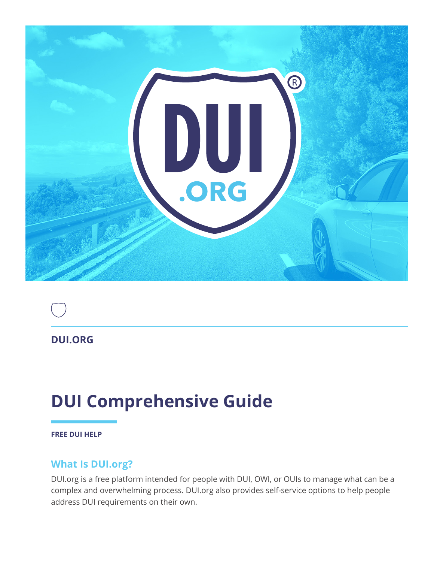



# **DUI Comprehensive Guide**

**FREE DUI HELP**

#### **What Is DUI.org?**

DUI.org is a free platform intended for people with DUI, OWI, or OUIs to manage what can be a complex and overwhelming process. DUI.org also provides self-service options to help people address DUI requirements on their own.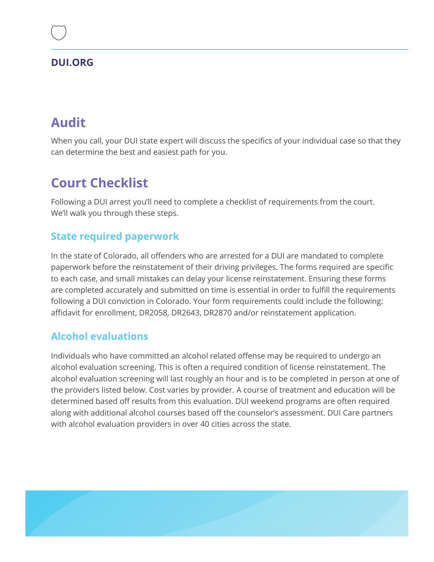## **Audit**

When you call, your DUI state expert will discuss the specifics of your individual case so that they can determine the best and easiest path for you.

## **Court Checklist**

Following a DUI arrest you'll need to complete a checklist of requirements from the court. We'll walk you through these steps.

### **State required paperwork**

In the state of Colorado, all offenders who are arrested for a DUI are mandated to complete paperwork before the reinstatement of their driving privileges. The forms required are specific to each case, and small mistakes can delay your license reinstatement. Ensuring these forms are completed accurately and submitted on time is essential in order to fulfill the requirements following a DUI conviction in Colorado. Your form requirements could include the following: affidavit for enrollment, DR2058, DR2643, DR2870 and/or reinstatement application.

### **Alcohol evaluations**

Individuals who have committed an alcohol related offense may be required to undergo an alcohol evaluation screening. This is often a required condition of license reinstatement. The alcohol evaluation screening will last roughly an hour and is to be completed in person at one of the providers listed below. Cost varies by provider. A course of treatment and education will be determined based off results from this evaluation. DUI weekend programs are often required along with additional alcohol courses based off the counselor's assessment. DUI Care partners with alcohol evaluation providers in over 40 cities across the state.

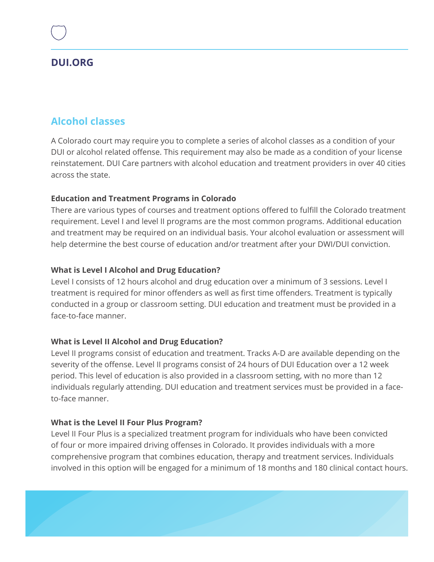### **Alcohol classes**

A Colorado court may require you to complete a series of alcohol classes as a condition of your DUI or alcohol related offense. This requirement may also be made as a condition of your license reinstatement. DUI Care partners with alcohol education and treatment providers in over 40 cities across the state.

#### **Education and Treatment Programs in Colorado**

There are various types of courses and treatment options offered to fulfill the Colorado treatment requirement. Level I and level II programs are the most common programs. Additional education and treatment may be required on an individual basis. Your alcohol evaluation or assessment will help determine the best course of education and/or treatment after your DWI/DUI conviction.

#### **What is Level I Alcohol and Drug Education?**

Level I consists of 12 hours alcohol and drug education over a minimum of 3 sessions. Level I treatment is required for minor offenders as well as first time offenders. Treatment is typically conducted in a group or classroom setting. DUI education and treatment must be provided in a face-to-face manner.

#### **What is Level II Alcohol and Drug Education?**

Level II programs consist of education and treatment. Tracks A-D are available depending on the severity of the offense. Level II programs consist of 24 hours of DUI Education over a 12 week period. This level of education is also provided in a classroom setting, with no more than 12 individuals regularly attending. DUI education and treatment services must be provided in a faceto-face manner.

#### **What is the Level II Four Plus Program?**

Level II Four Plus is a specialized treatment program for individuals who have been convicted of four or more impaired driving offenses in Colorado. It provides individuals with a more comprehensive program that combines education, therapy and treatment services. Individuals involved in this option will be engaged for a minimum of 18 months and 180 clinical contact hours.

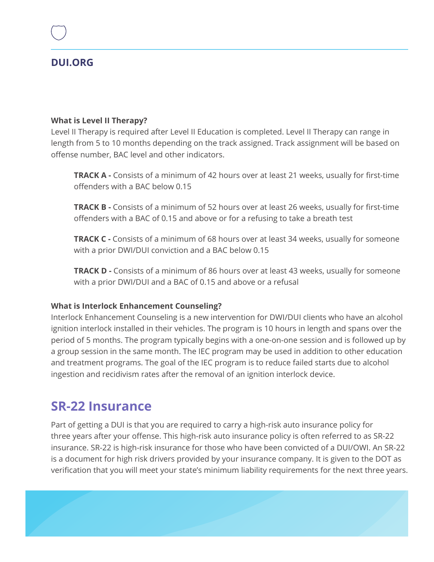#### **What is Level II Therapy?**

Level II Therapy is required after Level II Education is completed. Level II Therapy can range in length from 5 to 10 months depending on the track assigned. Track assignment will be based on offense number, BAC level and other indicators.

**TRACK A -** Consists of a minimum of 42 hours over at least 21 weeks, usually for first-time offenders with a BAC below 0.15

**TRACK B -** Consists of a minimum of 52 hours over at least 26 weeks, usually for first-time offenders with a BAC of 0.15 and above or for a refusing to take a breath test

**TRACK C -** Consists of a minimum of 68 hours over at least 34 weeks, usually for someone with a prior DWI/DUI conviction and a BAC below 0.15

**TRACK D -** Consists of a minimum of 86 hours over at least 43 weeks, usually for someone with a prior DWI/DUI and a BAC of 0.15 and above or a refusal

#### **What is Interlock Enhancement Counseling?**

Interlock Enhancement Counseling is a new intervention for DWI/DUI clients who have an alcohol ignition interlock installed in their vehicles. The program is 10 hours in length and spans over the period of 5 months. The program typically begins with a one-on-one session and is followed up by a group session in the same month. The IEC program may be used in addition to other education and treatment programs. The goal of the IEC program is to reduce failed starts due to alcohol ingestion and recidivism rates after the removal of an ignition interlock device.

## **SR-22 Insurance**

Part of getting a DUI is that you are required to carry a high-risk auto insurance policy for three years after your offense. This high-risk auto insurance policy is often referred to as SR-22 insurance. SR-22 is high-risk insurance for those who have been convicted of a DUI/OWI. An SR-22 is a document for high risk drivers provided by your insurance company. It is given to the DOT as verification that you will meet your state's minimum liability requirements for the next three years.